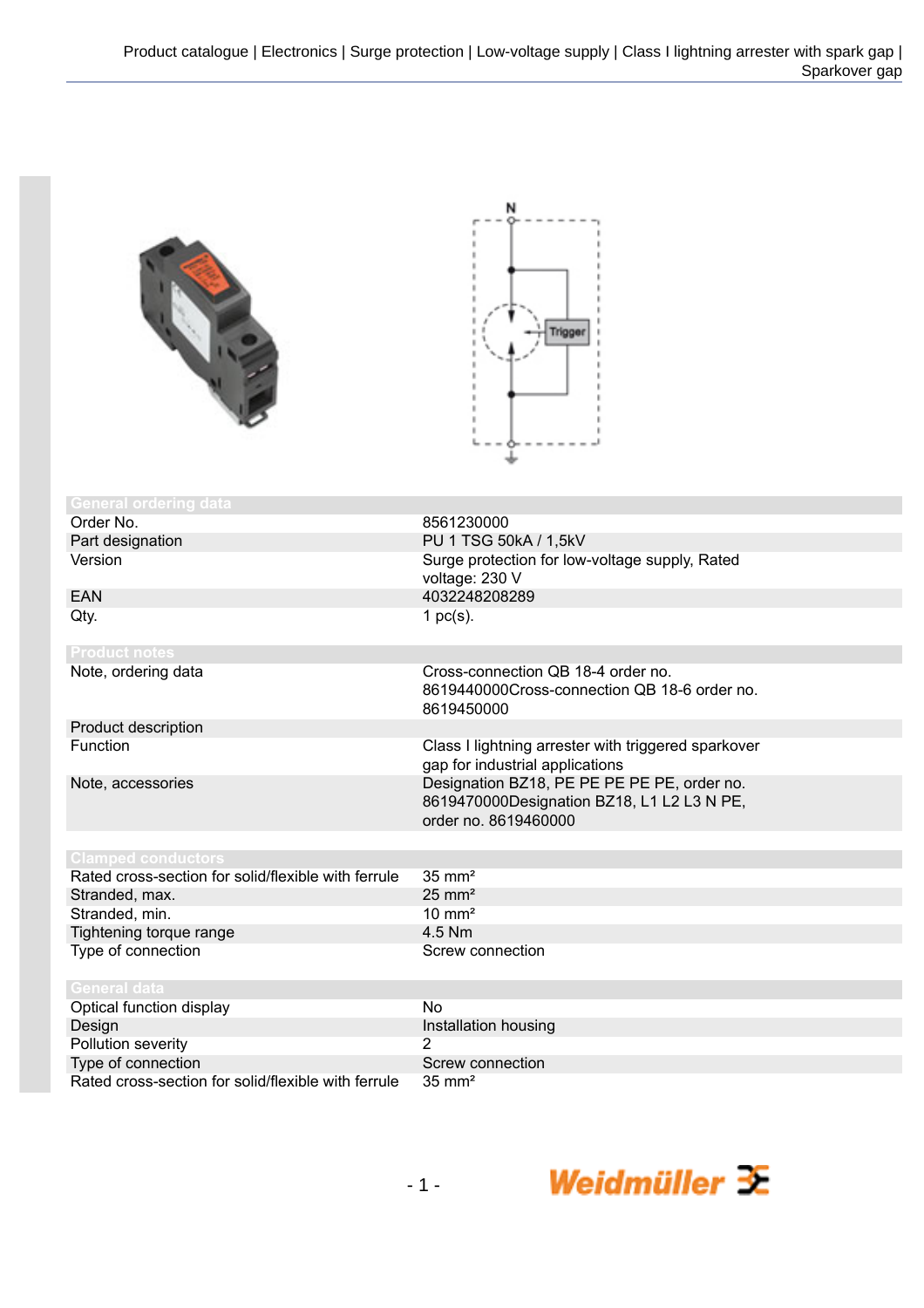| <b>General ordering data</b>                                              |                                                                                                                   |
|---------------------------------------------------------------------------|-------------------------------------------------------------------------------------------------------------------|
| Order No.                                                                 | 8561230000                                                                                                        |
| Part designation                                                          | PU 1 TSG 50kA / 1,5kV                                                                                             |
| Version                                                                   | Surge protection for low-voltage supply, Rated<br>voltage: 230 V                                                  |
| <b>EAN</b>                                                                | 4032248208289                                                                                                     |
| Qty.                                                                      | 1 $pc(s)$ .                                                                                                       |
| <b>Product notes</b>                                                      |                                                                                                                   |
| Note, ordering data                                                       | Cross-connection QB 18-4 order no.<br>8619440000Cross-connection QB 18-6 order no.<br>8619450000                  |
| Product description                                                       |                                                                                                                   |
| Function                                                                  | Class I lightning arrester with triggered sparkover<br>gap for industrial applications                            |
| Note, accessories                                                         | Designation BZ18, PE PE PE PE PE, order no.<br>8619470000Designation BZ18, L1 L2 L3 N PE,<br>order no. 8619460000 |
|                                                                           |                                                                                                                   |
| <b>Clamped conductors</b>                                                 |                                                                                                                   |
| Rated cross-section for solid/flexible with ferrule                       | $35 \text{ mm}^2$<br>$25 \text{ mm}^2$                                                                            |
| Stranded, max.<br>Stranded, min.                                          | $10 \text{ mm}^2$                                                                                                 |
| Tightening torque range                                                   | 4.5 Nm                                                                                                            |
| Type of connection                                                        | Screw connection                                                                                                  |
|                                                                           |                                                                                                                   |
| <b>General data</b>                                                       |                                                                                                                   |
| Optical function display                                                  | <b>No</b>                                                                                                         |
| Design                                                                    | Installation housing                                                                                              |
| Pollution severity                                                        | 2                                                                                                                 |
| Type of connection<br>Rated cross-section for solid/flexible with ferrule | Screw connection                                                                                                  |
|                                                                           | $35 \text{ mm}^2$                                                                                                 |

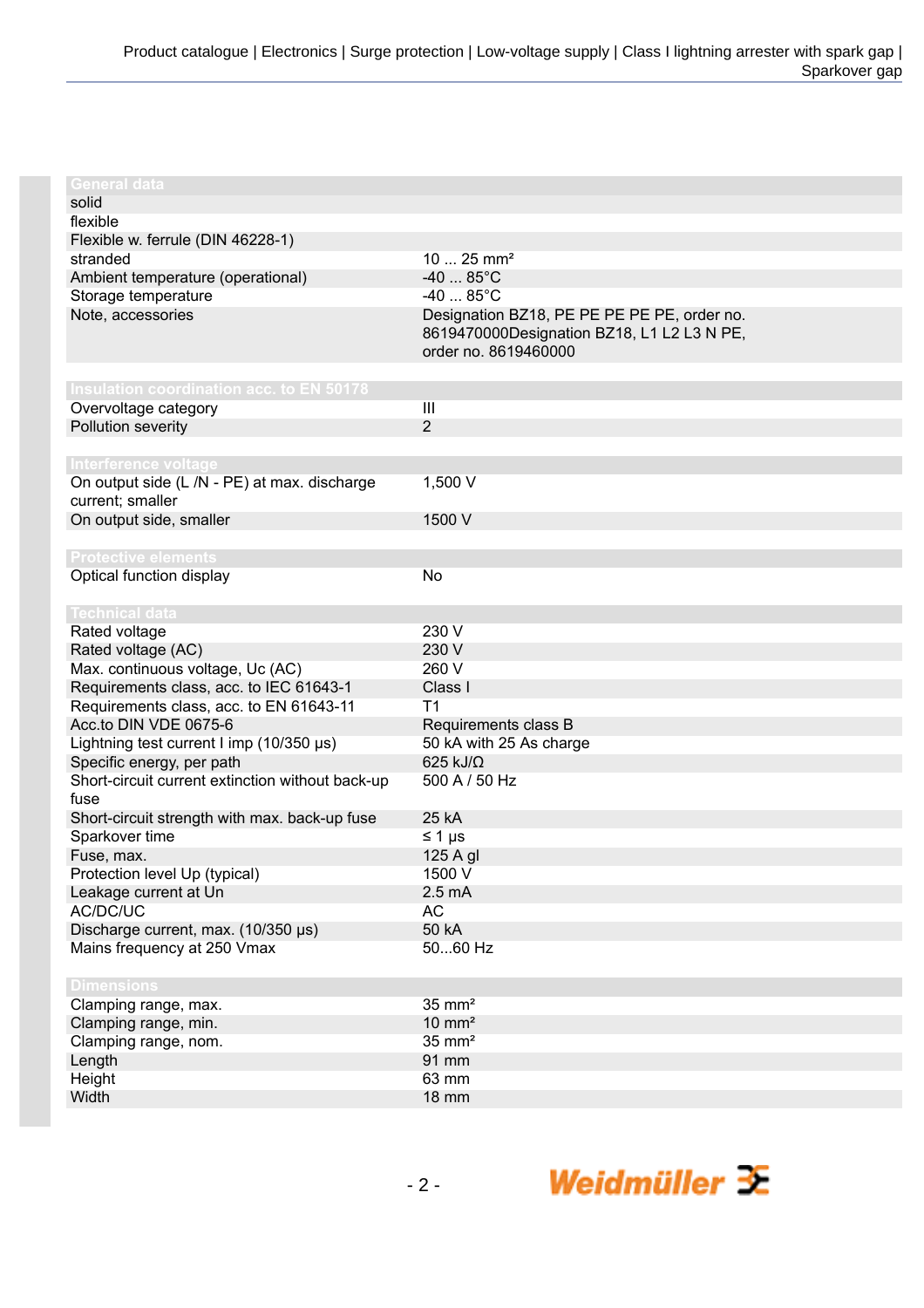| <b>General data</b>                              |                                             |
|--------------------------------------------------|---------------------------------------------|
| solid                                            |                                             |
| flexible                                         |                                             |
| Flexible w. ferrule (DIN 46228-1)                |                                             |
| stranded                                         | $1025$ mm <sup>2</sup>                      |
| Ambient temperature (operational)                | $-40$ 85°C                                  |
| Storage temperature                              | $-40$ 85°C                                  |
| Note, accessories                                | Designation BZ18, PE PE PE PE PE, order no. |
|                                                  | 8619470000Designation BZ18, L1 L2 L3 N PE,  |
|                                                  | order no. 8619460000                        |
|                                                  |                                             |
| Insulation coordination acc. to EN 50178         |                                             |
| Overvoltage category                             | III                                         |
| Pollution severity                               | $\overline{2}$                              |
|                                                  |                                             |
| Interference voltage                             |                                             |
| On output side (L /N - PE) at max. discharge     | 1,500 V                                     |
| current; smaller                                 |                                             |
| On output side, smaller                          | 1500 V                                      |
|                                                  |                                             |
| <b>Protective elements</b>                       |                                             |
| Optical function display                         | No                                          |
|                                                  |                                             |
| <b>Technical data</b>                            | 230 V                                       |
| Rated voltage                                    |                                             |
| Rated voltage (AC)                               | 230 V                                       |
| Max. continuous voltage, Uc (AC)                 | 260 V                                       |
| Requirements class, acc. to IEC 61643-1          | Class I                                     |
| Requirements class, acc. to EN 61643-11          | T <sub>1</sub>                              |
| Acc.to DIN VDE 0675-6                            | Requirements class B                        |
| Lightning test current I imp (10/350 µs)         | 50 kA with 25 As charge                     |
| Specific energy, per path                        | 625 kJ/Ω                                    |
| Short-circuit current extinction without back-up | 500 A / 50 Hz                               |
| fuse                                             | 25 kA                                       |
| Short-circuit strength with max. back-up fuse    |                                             |
| Sparkover time                                   | $\leq 1 \mu s$                              |
| Fuse, max.                                       | 125 A gl<br>1500 V                          |
| Protection level Up (typical)                    | $2.5 \text{ mA}$                            |
| Leakage current at Un<br>AC/DC/UC                | <b>AC</b>                                   |
| Discharge current, max. (10/350 µs)              | 50 kA                                       |
| Mains frequency at 250 Vmax                      | 5060 Hz                                     |
|                                                  |                                             |
| <b>Dimensions</b>                                |                                             |
| Clamping range, max.                             | $35 \text{ mm}^2$                           |
| Clamping range, min.                             | $10 \text{ mm}^2$                           |
| Clamping range, nom.                             | $35 \text{ mm}^2$                           |
| Length                                           | 91 mm                                       |
| Height                                           | 63 mm                                       |
| Width                                            | <b>18 mm</b>                                |
|                                                  |                                             |